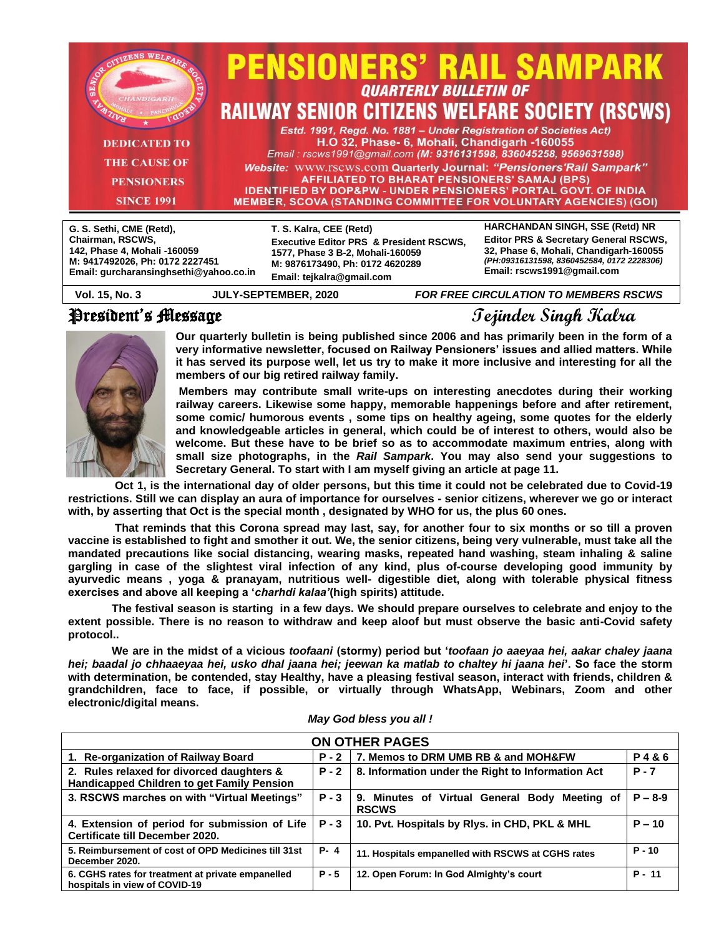|                          |                                              | <b>PENSIONERS' RAIL SAMPARK</b>                                            |  |
|--------------------------|----------------------------------------------|----------------------------------------------------------------------------|--|
| <b>CHANDIGARI</b>        |                                              | <b>QUARTERLY BULLETIN OF</b>                                               |  |
|                          |                                              | <b>RAILWAY SENIOR CITIZENS WELFARE SOCIETY (RSCWS)</b>                     |  |
|                          |                                              | Estd. 1991, Regd. No. 1881 - Under Registration of Societies Act)          |  |
| <b>DEDICATED TO</b>      | H.O 32, Phase- 6, Mohali, Chandigarh -160055 |                                                                            |  |
|                          |                                              | Email: rscws1991@gmail.com (M: 9316131598, 836045258, 9569631598)          |  |
| <b>THE CAUSE OF</b>      |                                              | <b>Website: WWW.rscws.com Quarterly Journal: "Pensioners'Rail Sampark"</b> |  |
| <b>PENSIONERS</b>        |                                              | AFFILIATED TO BHARAT PENSIONERS' SAMAJ (BPS)                               |  |
|                          |                                              | <b>IDENTIFIED BY DOP&amp;PW - UNDER PENSIONERS' PORTAL GOVT. OF INDIA</b>  |  |
| <b>SINCE 1991</b>        |                                              | <b>MEMBER, SCOVA (STANDING COMMITTEE FOR VOLUNTARY AGENCIES) (GOI)</b>     |  |
|                          |                                              |                                                                            |  |
| G. S. Sethi, CME (Retd), | T. S. Kalra, CEE (Retd)                      | HARCHANDAN SINGH, SSE (Retd) NR<br>$\overline{a}$                          |  |

| Chairman, RSCWS,                       | <b>Executive Editor PRS &amp; President RSCWS,</b> | <b>Editor PRS &amp; Secretary General RSCWS,</b> |
|----------------------------------------|----------------------------------------------------|--------------------------------------------------|
| 142, Phase 4, Mohali -160059           | 1577, Phase 3 B-2, Mohali-160059                   | 32, Phase 6, Mohali, Chandigarh-160055           |
| M: 9417492026, Ph: 0172 2227451        | M: 9876173490. Ph: 0172 4620289                    | (PH:09316131598, 8360452584, 0172 2228306)       |
| Email: gurcharansinghsethi@yahoo.co.in | Email: tejkalra@qmail.com                          | Email: rscws1991@gmail.com                       |
|                                        |                                                    |                                                  |

### President's Message **Tejinder Singh Kalra**

**Vol. 15, No. 3 JULY-SEPTEMBER, 2020** *FOR FREE CIRCULATION TO MEMBERS RSCWS*



**Our quarterly bulletin is being published since 2006 and has primarily been in the form of a very informative newsletter, focused on Railway Pensioners' issues and allied matters. While it has served its purpose well, let us try to make it more inclusive and interesting for all the members of our big retired railway family.**

**Members may contribute small write-ups on interesting anecdotes during their working railway careers. Likewise some happy, memorable happenings before and after retirement, some comic/ humorous events , some tips on healthy ageing, some quotes for the elderly and knowledgeable articles in general, which could be of interest to others, would also be welcome. But these have to be brief so as to accommodate maximum entries, along with small size photographs, in the** *Rail Sampark***. You may also send your suggestions to Secretary General. To start with I am myself giving an article at page 11.** 

 **Oct 1, is the international day of older persons, but this time it could not be celebrated due to Covid-19 restrictions. Still we can display an aura of importance for ourselves - senior citizens, wherever we go or interact with, by asserting that Oct is the special month , designated by WHO for us, the plus 60 ones.**

 **That reminds that this Corona spread may last, say, for another four to six months or so till a proven vaccine is established to fight and smother it out. We, the senior citizens, being very vulnerable, must take all the mandated precautions like social distancing, wearing masks, repeated hand washing, steam inhaling & saline gargling in case of the slightest viral infection of any kind, plus of-course developing good immunity by ayurvedic means , yoga & pranayam, nutritious well- digestible diet, along with tolerable physical fitness exercises and above all keeping a '***charhdi kalaa'***(high spirits) attitude.**

 **The festival season is starting in a few days. We should prepare ourselves to celebrate and enjoy to the extent possible. There is no reason to withdraw and keep aloof but must observe the basic anti-Covid safety protocol..** 

 **We are in the midst of a vicious** *toofaani* **(stormy) period but '***toofaan jo aaeyaa hei, aakar chaley jaana hei; baadal jo chhaaeyaa hei, usko dhal jaana hei; jeewan ka matlab to chaltey hi jaana hei***'. So face the storm with determination, be contended, stay Healthy, have a pleasing festival season, interact with friends, children & grandchildren, face to face, if possible, or virtually through WhatsApp, Webinars, Zoom and other electronic/digital means.**

| <b>ON OTHER PAGES</b>                                                                          |         |                                                               |           |
|------------------------------------------------------------------------------------------------|---------|---------------------------------------------------------------|-----------|
| 1. Re-organization of Railway Board                                                            | $P - 2$ | 7. Memos to DRM UMB RB & and MOH&FW                           | P4&6      |
| 2. Rules relaxed for divorced daughters &<br><b>Handicapped Children to get Family Pension</b> | $P - 2$ | 8. Information under the Right to Information Act             | $P - 7$   |
| 3. RSCWS marches on with "Virtual Meetings"                                                    | $P - 3$ | 9. Minutes of Virtual General Body Meeting of<br><b>RSCWS</b> | $P - 8-9$ |
| 4. Extension of period for submission of Life<br>Certificate till December 2020.               | $P - 3$ | 10. Pvt. Hospitals by Rlys. in CHD, PKL & MHL                 | $P - 10$  |
| 5. Reimbursement of cost of OPD Medicines till 31st<br>December 2020.                          | $P - 4$ | 11. Hospitals empanelled with RSCWS at CGHS rates             | $P - 10$  |
| 6. CGHS rates for treatment at private empanelled<br>hospitals in view of COVID-19             | $P - 5$ | 12. Open Forum: In God Almighty's court                       | $P - 11$  |

*May God bless you all !*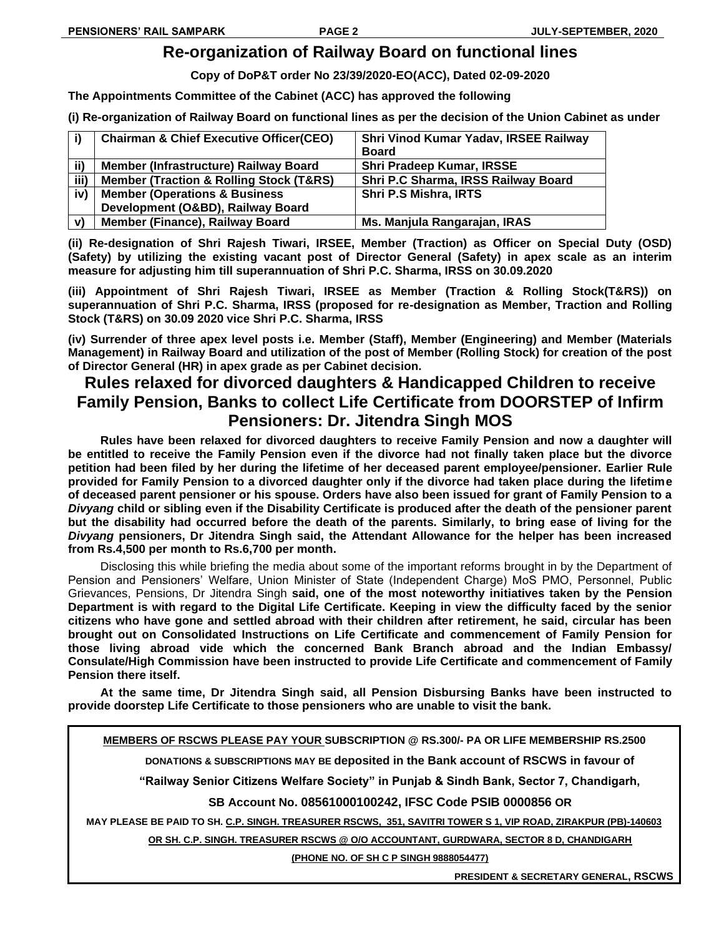# **Re-organization of Railway Board on functional lines**

**Copy of DoP&T order No 23/39/2020-EO(ACC), Dated 02-09-2020**

**The Appointments Committee of the Cabinet (ACC) has approved the following**

**(i) Re-organization of Railway Board on functional lines as per the decision of the Union Cabinet as under**

| i)   | <b>Chairman &amp; Chief Executive Officer(CEO)</b>     | Shri Vinod Kumar Yadav, IRSEE Railway |
|------|--------------------------------------------------------|---------------------------------------|
|      |                                                        | <b>Board</b>                          |
| ii)  | Member (Infrastructure) Railway Board                  | <b>Shri Pradeep Kumar, IRSSE</b>      |
| iii) | <b>Member (Traction &amp; Rolling Stock (T&amp;RS)</b> | Shri P.C Sharma, IRSS Railway Board   |
| iv)  | <b>Member (Operations &amp; Business)</b>              | Shri P.S Mishra, IRTS                 |
|      | Development (O&BD), Railway Board                      |                                       |
| v)   | Member (Finance), Railway Board                        | Ms. Manjula Rangarajan, IRAS          |

**(ii) Re-designation of Shri Rajesh Tiwari, IRSEE, Member (Traction) as Officer on Special Duty (OSD) (Safety) by utilizing the existing vacant post of Director General (Safety) in apex scale as an interim measure for adjusting him till superannuation of Shri P.C. Sharma, IRSS on 30.09.2020** 

**(iii) Appointment of Shri Rajesh Tiwari, IRSEE as Member (Traction & Rolling Stock(T&RS)) on superannuation of Shri P.C. Sharma, IRSS (proposed for re-designation as Member, Traction and Rolling Stock (T&RS) on 30.09 2020 vice Shri P.C. Sharma, IRSS**

**(iv) Surrender of three apex level posts i.e. Member (Staff), Member (Engineering) and Member (Materials Management) in Railway Board and utilization of the post of Member (Rolling Stock) for creation of the post of Director General (HR) in apex grade as per Cabinet decision.**

# **Rules relaxed for divorced daughters & Handicapped Children to receive Family Pension, Banks to collect Life Certificate from DOORSTEP of Infirm Pensioners: Dr. Jitendra Singh MOS**

**Rules have been relaxed for divorced daughters to receive Family Pension and now a daughter will be entitled to receive the Family Pension even if the divorce had not finally taken place but the divorce petition had been filed by her during the lifetime of her deceased parent employee/pensioner. Earlier Rule provided for Family Pension to a divorced daughter only if the divorce had taken place during the lifetime of deceased parent pensioner or his spouse. Orders have also been issued for grant of Family Pension to a**  *Divyang* **child or sibling even if the Disability Certificate is produced after the death of the pensioner parent but the disability had occurred before the death of the parents. Similarly, to bring ease of living for the**  *Divyang* **pensioners, Dr Jitendra Singh said, the Attendant Allowance for the helper has been increased from Rs.4,500 per month to Rs.6,700 per month.**

Disclosing this while briefing the media about some of the important reforms brought in by the Department of Pension and Pensioners' Welfare, Union Minister of State (Independent Charge) MoS PMO, Personnel, Public Grievances, Pensions, Dr Jitendra Singh **said, one of the most noteworthy initiatives taken by the Pension Department is with regard to the Digital Life Certificate. Keeping in view the difficulty faced by the senior citizens who have gone and settled abroad with their children after retirement, he said, circular has been brought out on Consolidated Instructions on Life Certificate and commencement of Family Pension for those living abroad vide which the concerned Bank Branch abroad and the Indian Embassy/ Consulate/High Commission have been instructed to provide Life Certificate and commencement of Family Pension there itself.**

**At the same time, Dr Jitendra Singh said, all Pension Disbursing Banks have been instructed to provide doorstep Life Certificate to those pensioners who are unable to visit the bank.**

**MEMBERS OF RSCWS PLEASE PAY YOUR SUBSCRIPTION @ RS.300/- PA OR LIFE MEMBERSHIP RS.2500**

**DONATIONS & SUBSCRIPTIONS MAY BE deposited in the Bank account of RSCWS in favour of**

**"Railway Senior Citizens Welfare Society" in Punjab & Sindh Bank, Sector 7, Chandigarh,**

**SB Account No. 08561000100242, IFSC Code PSIB 0000856 OR**

**MAY PLEASE BE PAID TO SH. C.P. SINGH. TREASURER RSCWS, 351, SAVITRI TOWER S 1, VIP ROAD, ZIRAKPUR (PB)-140603**

**OR SH. C.P. SINGH. TREASURER RSCWS @ O/O ACCOUNTANT, GURDWARA, SECTOR 8 D, CHANDIGARH**

**(PHONE NO. OF SH C P SINGH 9888054477)**

**PRESIDENT & SECRETARY GENERAL, RSCWS**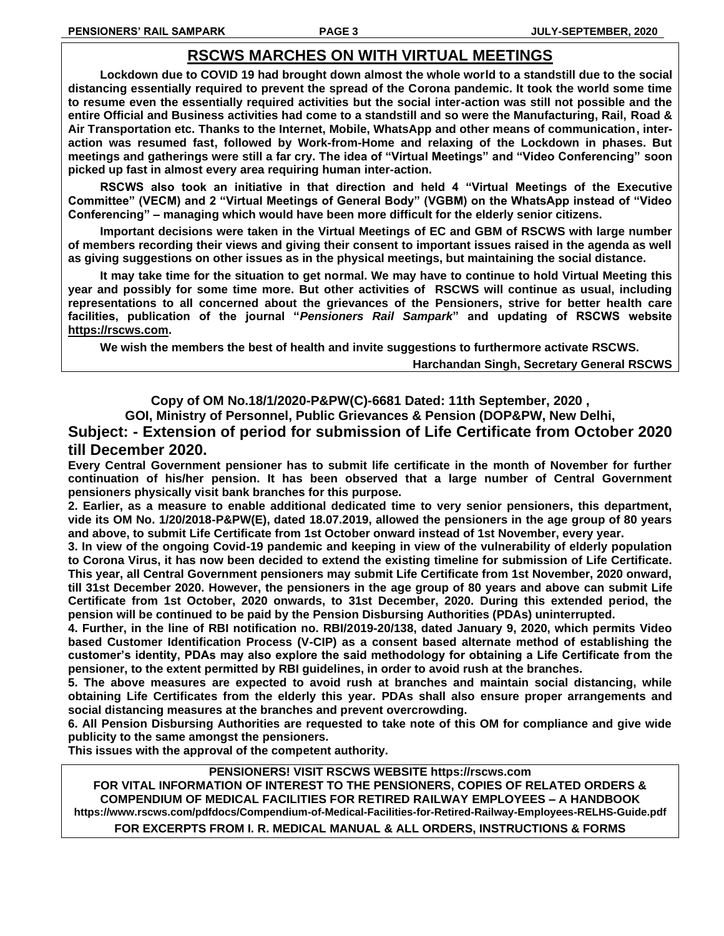### **RSCWS MARCHES ON WITH VIRTUAL MEETINGS**

**Lockdown due to COVID 19 had brought down almost the whole world to a standstill due to the social distancing essentially required to prevent the spread of the Corona pandemic. It took the world some time to resume even the essentially required activities but the social inter-action was still not possible and the entire Official and Business activities had come to a standstill and so were the Manufacturing, Rail, Road & Air Transportation etc. Thanks to the Internet, Mobile, WhatsApp and other means of communication, interaction was resumed fast, followed by Work-from-Home and relaxing of the Lockdown in phases. But meetings and gatherings were still a far cry. The idea of "Virtual Meetings" and "Video Conferencing" soon picked up fast in almost every area requiring human inter-action.**

**RSCWS also took an initiative in that direction and held 4 "Virtual Meetings of the Executive Committee" (VECM) and 2 "Virtual Meetings of General Body" (VGBM) on the WhatsApp instead of "Video Conferencing" – managing which would have been more difficult for the elderly senior citizens.** 

**Important decisions were taken in the Virtual Meetings of EC and GBM of RSCWS with large number of members recording their views and giving their consent to important issues raised in the agenda as well as giving suggestions on other issues as in the physical meetings, but maintaining the social distance.**

**It may take time for the situation to get normal. We may have to continue to hold Virtual Meeting this year and possibly for some time more. But other activities of RSCWS will continue as usual, including representations to all concerned about the grievances of the Pensioners, strive for better health care facilities, publication of the journal "***Pensioners Rail Sampark***" and updating of RSCWS website [https://rscws.com.](https://rscws.com/)**

**We wish the members the best of health and invite suggestions to furthermore activate RSCWS.** 

**Harchandan Singh, Secretary General RSCWS**

**Copy of OM No.18/1/2020-P&PW(C)-6681 Dated: 11th September, 2020 ,** 

**GOI, Ministry of Personnel, Public Grievances & Pension (DOP&PW, New Delhi,** 

**Subject: - Extension of period for submission of Life Certificate from October 2020 till December 2020.** 

**Every Central Government pensioner has to submit life certificate in the month of November for further continuation of his/her pension. It has been observed that a large number of Central Government pensioners physically visit bank branches for this purpose.** 

**2. Earlier, as a measure to enable additional dedicated time to very senior pensioners, this department, vide its OM No. 1/20/2018-P&PW(E), dated 18.07.2019, allowed the pensioners in the age group of 80 years and above, to submit Life Certificate from 1st October onward instead of 1st November, every year.** 

**3. In view of the ongoing Covid-19 pandemic and keeping in view of the vulnerability of elderly population to Corona Virus, it has now been decided to extend the existing timeline for submission of Life Certificate. This year, all Central Government pensioners may submit Life Certificate from 1st November, 2020 onward, till 31st December 2020. However, the pensioners in the age group of 80 years and above can submit Life Certificate from 1st October, 2020 onwards, to 31st December, 2020. During this extended period, the pension will be continued to be paid by the Pension Disbursing Authorities (PDAs) uninterrupted.** 

**4. Further, in the line of RBI notification no. RBI/2019-20/138, dated January 9, 2020, which permits Video based Customer Identification Process (V-CIP) as a consent based alternate method of establishing the customer's identity, PDAs may also explore the said methodology for obtaining a Life Certificate from the pensioner, to the extent permitted by RBI guidelines, in order to avoid rush at the branches.** 

**5. The above measures are expected to avoid rush at branches and maintain social distancing, while obtaining Life Certificates from the elderly this year. PDAs shall also ensure proper arrangements and social distancing measures at the branches and prevent overcrowding.** 

**6. All Pension Disbursing Authorities are requested to take note of this OM for compliance and give wide publicity to the same amongst the pensioners.** 

**This issues with the approval of the competent authority.** 

**PENSIONERS! VISIT RSCWS WEBSITE https://rscws.com**

**FOR VITAL INFORMATION OF INTEREST TO THE PENSIONERS, COPIES OF RELATED ORDERS & COMPENDIUM OF MEDICAL FACILITIES FOR RETIRED RAILWAY EMPLOYEES – A HANDBOOK https://www.rscws.com/pdfdocs/Compendium-of-Medical-Facilities-for-Retired-Railway-Employees-RELHS-Guide.pdf FOR EXCERPTS FROM I. R. MEDICAL MANUAL & ALL ORDERS, INSTRUCTIONS & FORMS**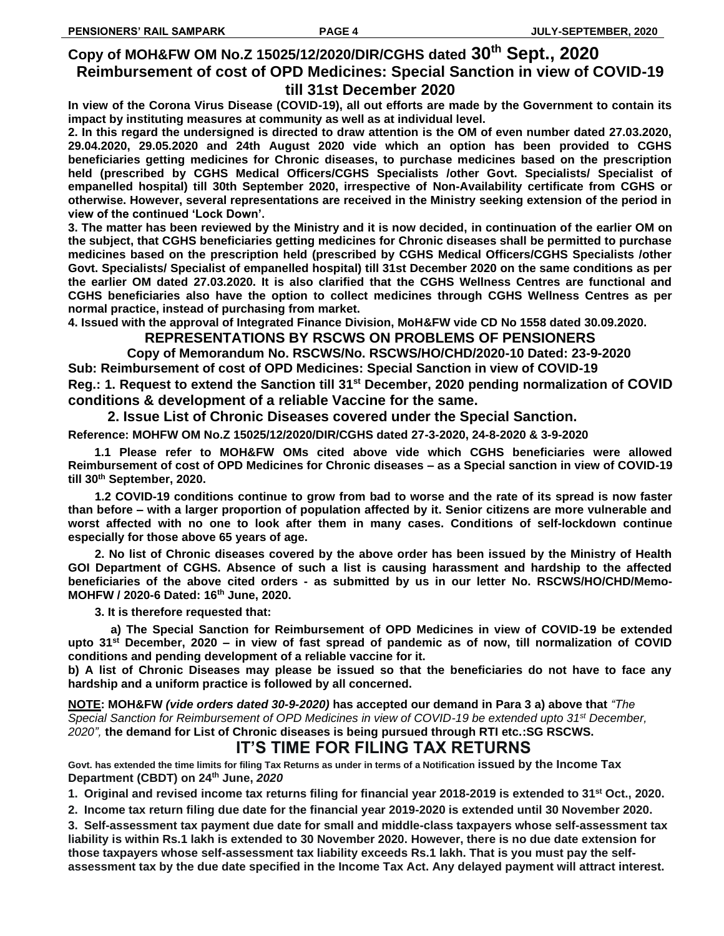### **Copy of MOH&FW OM No.Z 15025/12/2020/DIR/CGHS dated 30th Sept., 2020 Reimbursement of cost of OPD Medicines: Special Sanction in view of COVID-19 till 31st December 2020**

**In view of the Corona Virus Disease (COVID-19), all out efforts are made by the Government to contain its impact by instituting measures at community as well as at individual level.**

**2. In this regard the undersigned is directed to draw attention is the OM of even number dated 27.03.2020, 29.04.2020, 29.05.2020 and 24th August 2020 vide which an option has been provided to CGHS beneficiaries getting medicines for Chronic diseases, to purchase medicines based on the prescription held (prescribed by CGHS Medical Officers/CGHS Specialists /other Govt. Specialists/ Specialist of empanelled hospital) till 30th September 2020, irrespective of Non-Availability certificate from CGHS or otherwise. However, several representations are received in the Ministry seeking extension of the period in view of the continued 'Lock Down'.**

**3. The matter has been reviewed by the Ministry and it is now decided, in continuation of the earlier OM on the subject, that CGHS beneficiaries getting medicines for Chronic diseases shall be permitted to purchase medicines based on the prescription held (prescribed by CGHS Medical Officers/CGHS Specialists /other Govt. Specialists/ Specialist of empanelled hospital) till 31st December 2020 on the same conditions as per the earlier OM dated 27.03.2020. It is also clarified that the CGHS Wellness Centres are functional and CGHS beneficiaries also have the option to collect medicines through CGHS Wellness Centres as per normal practice, instead of purchasing from market.**

**4. Issued with the approval of Integrated Finance Division, MoH&FW vide CD No 1558 dated 30.09.2020.**

### **REPRESENTATIONS BY RSCWS ON PROBLEMS OF PENSIONERS**

 **Copy of Memorandum No. RSCWS/No. RSCWS/HO/CHD/2020-10 Dated: 23-9-2020 Sub: Reimbursement of cost of OPD Medicines: Special Sanction in view of COVID-19 Reg.: 1. Request to extend the Sanction till 31st December, 2020 pending normalization of COVID conditions & development of a reliable Vaccine for the same.** 

 **2. Issue List of Chronic Diseases covered under the Special Sanction. Reference: MOHFW OM No.Z 15025/12/2020/DIR/CGHS dated 27-3-2020, 24-8-2020 & 3-9-2020**

**1.1 Please refer to MOH&FW OMs cited above vide which CGHS beneficiaries were allowed Reimbursement of cost of OPD Medicines for Chronic diseases – as a Special sanction in view of COVID-19 till 30th September, 2020.** 

**1.2 COVID-19 conditions continue to grow from bad to worse and the rate of its spread is now faster than before – with a larger proportion of population affected by it. Senior citizens are more vulnerable and worst affected with no one to look after them in many cases. Conditions of self-lockdown continue especially for those above 65 years of age.** 

**2. No list of Chronic diseases covered by the above order has been issued by the Ministry of Health GOI Department of CGHS. Absence of such a list is causing harassment and hardship to the affected beneficiaries of the above cited orders - as submitted by us in our letter No. RSCWS/HO/CHD/Memo-MOHFW / 2020-6 Dated: 16th June, 2020.**

**3. It is therefore requested that:**

**a) The Special Sanction for Reimbursement of OPD Medicines in view of COVID-19 be extended upto 31st December, 2020 – in view of fast spread of pandemic as of now, till normalization of COVID conditions and pending development of a reliable vaccine for it.**

**b) A list of Chronic Diseases may please be issued so that the beneficiaries do not have to face any hardship and a uniform practice is followed by all concerned.**

**NOTE: MOH&FW** *(vide orders dated 30-9-2020)* **has accepted our demand in Para 3 a) above that** *"The Special Sanction for Reimbursement of OPD Medicines in view of COVID-19 be extended upto 31st December, 2020",* **the demand for List of Chronic diseases is being pursued through RTI etc.:SG RSCWS.**

# **IT'S TIME FOR FILING TAX RETURNS**

**Govt. has extended the time limits for filing Tax Returns as under in terms of a Notification issued by the Income Tax Department (CBDT) on 24th June,** *2020*

**1. Original and revised income tax returns filing for financial year 2018-2019 is extended to 31st Oct., 2020.**

**2. Income tax return filing due date for the financial year 2019-2020 is extended until 30 November 2020.**

**3. Self-assessment tax payment due date for small and middle-class taxpayers whose self-assessment tax liability is within Rs.1 lakh is extended to 30 November 2020. However, there is no due date extension for those taxpayers whose self-assessment tax liability exceeds Rs.1 lakh. That is you must pay the selfassessment tax by the due date specified in the Income Tax Act. Any delayed payment will attract interest.**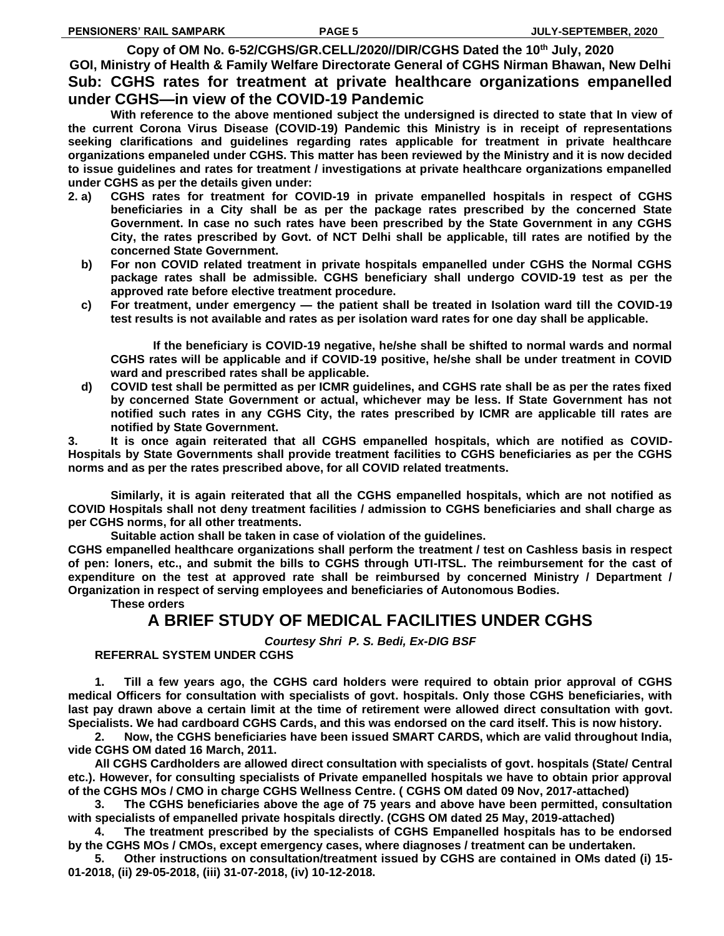**Copy of OM No. 6-52/CGHS/GR.CELL/2020//DIR/CGHS Dated the 10th July, 2020 GOI, Ministry of Health & Family Welfare Directorate General of CGHS Nirman Bhawan, New Delhi Sub: CGHS rates for treatment at private healthcare organizations empanelled under CGHS—in view of the COVID-19 Pandemic** 

**With reference to the above mentioned subject the undersigned is directed to state that In view of the current Corona Virus Disease (COVID-19) Pandemic this Ministry is in receipt of representations seeking clarifications and guidelines regarding rates applicable for treatment in private healthcare organizations empaneled under CGHS. This matter has been reviewed by the Ministry and it is now decided to issue guidelines and rates for treatment / investigations at private healthcare organizations empanelled under CGHS as per the details given under:** 

- **2. a) CGHS rates for treatment for COVID-19 in private empanelled hospitals in respect of CGHS beneficiaries in a City shall be as per the package rates prescribed by the concerned State Government. In case no such rates have been prescribed by the State Government in any CGHS City, the rates prescribed by Govt. of NCT Delhi shall be applicable, till rates are notified by the concerned State Government.** 
	- **b) For non COVID related treatment in private hospitals empanelled under CGHS the Normal CGHS package rates shall be admissible. CGHS beneficiary shall undergo COVID-19 test as per the approved rate before elective treatment procedure.**
	- **c) For treatment, under emergency — the patient shall be treated in Isolation ward till the COVID-19 test results is not available and rates as per isolation ward rates for one day shall be applicable.**

**If the beneficiary is COVID-19 negative, he/she shall be shifted to normal wards and normal CGHS rates will be applicable and if COVID-19 positive, he/she shall be under treatment in COVID ward and prescribed rates shall be applicable.** 

 **d) COVID test shall be permitted as per ICMR guidelines, and CGHS rate shall be as per the rates fixed by concerned State Government or actual, whichever may be less. If State Government has not notified such rates in any CGHS City, the rates prescribed by ICMR are applicable till rates are notified by State Government.**

**3. It is once again reiterated that all CGHS empanelled hospitals, which are notified as COVID-Hospitals by State Governments shall provide treatment facilities to CGHS beneficiaries as per the CGHS norms and as per the rates prescribed above, for all COVID related treatments.** 

**Similarly, it is again reiterated that all the CGHS empanelled hospitals, which are not notified as COVID Hospitals shall not deny treatment facilities / admission to CGHS beneficiaries and shall charge as per CGHS norms, for all other treatments.** 

**Suitable action shall be taken in case of violation of the guidelines.** 

**CGHS empanelled healthcare organizations shall perform the treatment / test on Cashless basis in respect of pen: loners, etc., and submit the bills to CGHS through UTI-ITSL. The reimbursement for the cast of expenditure on the test at approved rate shall be reimbursed by concerned Ministry / Department / Organization in respect of serving employees and beneficiaries of Autonomous Bodies.** 

**These orders** 

### **A BRIEF STUDY OF MEDICAL FACILITIES UNDER CGHS**

*Courtesy Shri P. S. Bedi, Ex-DIG BSF* 

**REFERRAL SYSTEM UNDER CGHS**

**1. Till a few years ago, the CGHS card holders were required to obtain prior approval of CGHS medical Officers for consultation with specialists of govt. hospitals. Only those CGHS beneficiaries, with last pay drawn above a certain limit at the time of retirement were allowed direct consultation with govt. Specialists. We had cardboard CGHS Cards, and this was endorsed on the card itself. This is now history.**

**2. Now, the CGHS beneficiaries have been issued SMART CARDS, which are valid throughout India, vide CGHS OM dated 16 March, 2011.**

**All CGHS Cardholders are allowed direct consultation with specialists of govt. hospitals (State/ Central etc.). However, for consulting specialists of Private empanelled hospitals we have to obtain prior approval of the CGHS MOs / CMO in charge CGHS Wellness Centre. ( CGHS OM dated 09 Nov, 2017-attached)**

**3. The CGHS beneficiaries above the age of 75 years and above have been permitted, consultation with specialists of empanelled private hospitals directly. (CGHS OM dated 25 May, 2019-attached)**

**4. The treatment prescribed by the specialists of CGHS Empanelled hospitals has to be endorsed by the CGHS MOs / CMOs, except emergency cases, where diagnoses / treatment can be undertaken.**

**5. Other instructions on consultation/treatment issued by CGHS are contained in OMs dated (i) 15- 01-2018, (ii) 29-05-2018, (iii) 31-07-2018, (iv) 10-12-2018.**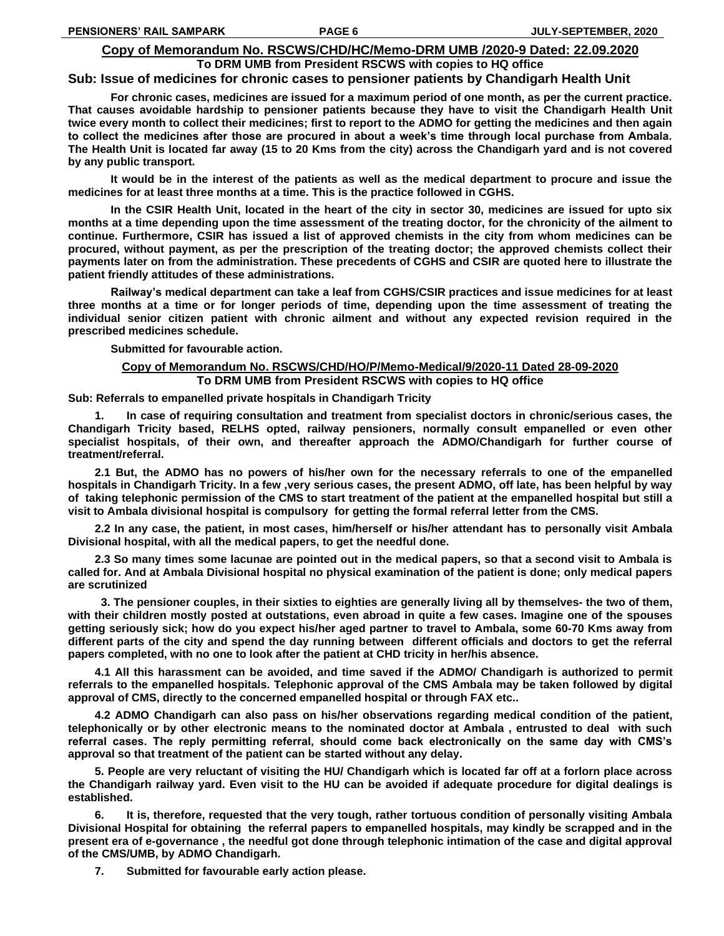#### **Copy of Memorandum No. RSCWS/CHD/HC/Memo-DRM UMB /2020-9 Dated: 22.09.2020**

### **To DRM UMB from President RSCWS with copies to HQ office Sub: Issue of medicines for chronic cases to pensioner patients by Chandigarh Health Unit**

**For chronic cases, medicines are issued for a maximum period of one month, as per the current practice. That causes avoidable hardship to pensioner patients because they have to visit the Chandigarh Health Unit twice every month to collect their medicines; first to report to the ADMO for getting the medicines and then again to collect the medicines after those are procured in about a week's time through local purchase from Ambala. The Health Unit is located far away (15 to 20 Kms from the city) across the Chandigarh yard and is not covered by any public transport.**

**It would be in the interest of the patients as well as the medical department to procure and issue the medicines for at least three months at a time. This is the practice followed in CGHS.** 

**In the CSIR Health Unit, located in the heart of the city in sector 30, medicines are issued for upto six months at a time depending upon the time assessment of the treating doctor, for the chronicity of the ailment to continue. Furthermore, CSIR has issued a list of approved chemists in the city from whom medicines can be procured, without payment, as per the prescription of the treating doctor; the approved chemists collect their payments later on from the administration. These precedents of CGHS and CSIR are quoted here to illustrate the patient friendly attitudes of these administrations.**

**Railway's medical department can take a leaf from CGHS/CSIR practices and issue medicines for at least three months at a time or for longer periods of time, depending upon the time assessment of treating the individual senior citizen patient with chronic ailment and without any expected revision required in the prescribed medicines schedule.**

**Submitted for favourable action.**

### **Copy of Memorandum No. RSCWS/CHD/HO/P/Memo-Medical/9/2020-11 Dated 28-09-2020**

**To DRM UMB from President RSCWS with copies to HQ office**

**Sub: Referrals to empanelled private hospitals in Chandigarh Tricity**

**1. In case of requiring consultation and treatment from specialist doctors in chronic/serious cases, the Chandigarh Tricity based, RELHS opted, railway pensioners, normally consult empanelled or even other specialist hospitals, of their own, and thereafter approach the ADMO/Chandigarh for further course of treatment/referral.** 

**2.1 But, the ADMO has no powers of his/her own for the necessary referrals to one of the empanelled hospitals in Chandigarh Tricity. In a few ,very serious cases, the present ADMO, off late, has been helpful by way of taking telephonic permission of the CMS to start treatment of the patient at the empanelled hospital but still a visit to Ambala divisional hospital is compulsory for getting the formal referral letter from the CMS.**

**2.2 In any case, the patient, in most cases, him/herself or his/her attendant has to personally visit Ambala Divisional hospital, with all the medical papers, to get the needful done.**

**2.3 So many times some lacunae are pointed out in the medical papers, so that a second visit to Ambala is called for. And at Ambala Divisional hospital no physical examination of the patient is done; only medical papers are scrutinized**

 **3. The pensioner couples, in their sixties to eighties are generally living all by themselves- the two of them, with their children mostly posted at outstations, even abroad in quite a few cases. Imagine one of the spouses getting seriously sick; how do you expect his/her aged partner to travel to Ambala, some 60-70 Kms away from different parts of the city and spend the day running between different officials and doctors to get the referral papers completed, with no one to look after the patient at CHD tricity in her/his absence.** 

**4.1 All this harassment can be avoided, and time saved if the ADMO/ Chandigarh is authorized to permit referrals to the empanelled hospitals. Telephonic approval of the CMS Ambala may be taken followed by digital approval of CMS, directly to the concerned empanelled hospital or through FAX etc..**

**4.2 ADMO Chandigarh can also pass on his/her observations regarding medical condition of the patient, telephonically or by other electronic means to the nominated doctor at Ambala , entrusted to deal with such referral cases. The reply permitting referral, should come back electronically on the same day with CMS's approval so that treatment of the patient can be started without any delay.**

**5. People are very reluctant of visiting the HU/ Chandigarh which is located far off at a forlorn place across the Chandigarh railway yard. Even visit to the HU can be avoided if adequate procedure for digital dealings is established.**

**6. It is, therefore, requested that the very tough, rather tortuous condition of personally visiting Ambala Divisional Hospital for obtaining the referral papers to empanelled hospitals, may kindly be scrapped and in the present era of e-governance , the needful got done through telephonic intimation of the case and digital approval of the CMS/UMB, by ADMO Chandigarh.**

**7. Submitted for favourable early action please.**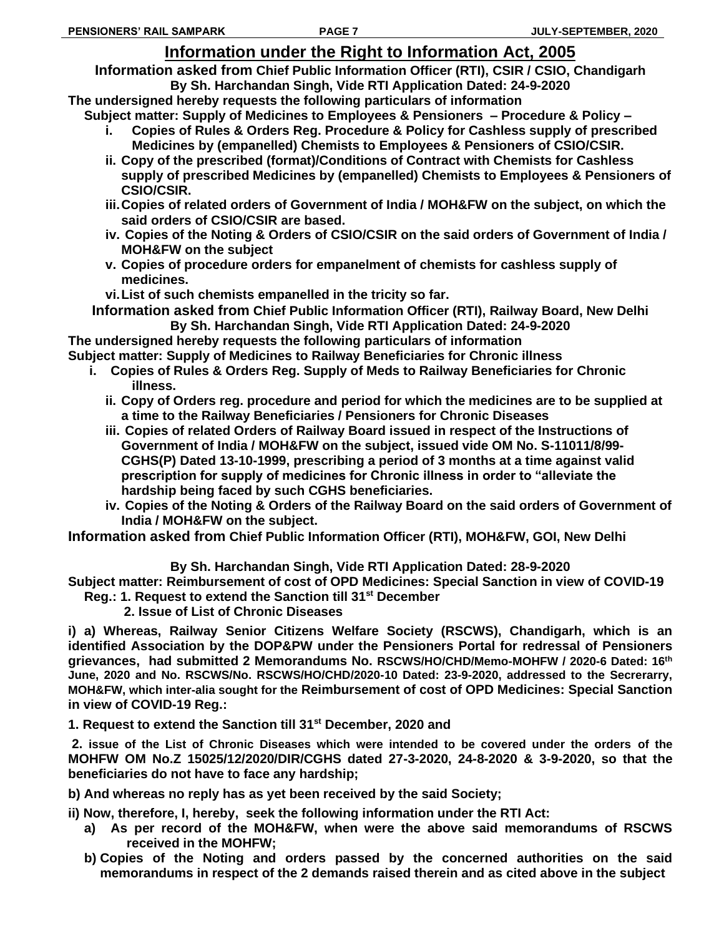# **Information under the Right to Information Act, 2005**

**Information asked from Chief Public Information Officer (RTI), CSIR / CSIO, Chandigarh**

**By Sh. Harchandan Singh, Vide RTI Application Dated: 24-9-2020 The undersigned hereby requests the following particulars of information**

**Subject matter: Supply of Medicines to Employees & Pensioners – Procedure & Policy –**

- **i. Copies of Rules & Orders Reg. Procedure & Policy for Cashless supply of prescribed Medicines by (empanelled) Chemists to Employees & Pensioners of CSIO/CSIR.**
- **ii. Copy of the prescribed (format)/Conditions of Contract with Chemists for Cashless supply of prescribed Medicines by (empanelled) Chemists to Employees & Pensioners of CSIO/CSIR.**
- **iii.Copies of related orders of Government of India / MOH&FW on the subject, on which the said orders of CSIO/CSIR are based.**
- **iv. Copies of the Noting & Orders of CSIO/CSIR on the said orders of Government of India / MOH&FW on the subject**
- **v. Copies of procedure orders for empanelment of chemists for cashless supply of medicines.**

**vi.List of such chemists empanelled in the tricity so far.**

**Information asked from Chief Public Information Officer (RTI), Railway Board, New Delhi By Sh. Harchandan Singh, Vide RTI Application Dated: 24-9-2020**

**The undersigned hereby requests the following particulars of information Subject matter: Supply of Medicines to Railway Beneficiaries for Chronic illness**

- **i. Copies of Rules & Orders Reg. Supply of Meds to Railway Beneficiaries for Chronic illness.** 
	- **ii. Copy of Orders reg. procedure and period for which the medicines are to be supplied at a time to the Railway Beneficiaries / Pensioners for Chronic Diseases**
	- **iii. Copies of related Orders of Railway Board issued in respect of the Instructions of Government of India / MOH&FW on the subject, issued vide OM No. S-11011/8/99- CGHS(P) Dated 13-10-1999, prescribing a period of 3 months at a time against valid prescription for supply of medicines for Chronic illness in order to "alleviate the hardship being faced by such CGHS beneficiaries.**
	- **iv. Copies of the Noting & Orders of the Railway Board on the said orders of Government of India / MOH&FW on the subject.**

**Information asked from Chief Public Information Officer (RTI), MOH&FW, GOI, New Delhi**

**By Sh. Harchandan Singh, Vide RTI Application Dated: 28-9-2020**

**Subject matter: Reimbursement of cost of OPD Medicines: Special Sanction in view of COVID-19 Reg.: 1. Request to extend the Sanction till 31st December**

 **2. Issue of List of Chronic Diseases**

**i) a) Whereas, Railway Senior Citizens Welfare Society (RSCWS), Chandigarh, which is an identified Association by the DOP&PW under the Pensioners Portal for redressal of Pensioners grievances, had submitted 2 Memorandums No. RSCWS/HO/CHD/Memo-MOHFW / 2020-6 Dated: 16th June, 2020 and No. RSCWS/No. RSCWS/HO/CHD/2020-10 Dated: 23-9-2020, addressed to the Secrerarry, MOH&FW, which inter-alia sought for the Reimbursement of cost of OPD Medicines: Special Sanction in view of COVID-19 Reg.:** 

**1. Request to extend the Sanction till 31st December, 2020 and**

**2. issue of the List of Chronic Diseases which were intended to be covered under the orders of the MOHFW OM No.Z 15025/12/2020/DIR/CGHS dated 27-3-2020, 24-8-2020 & 3-9-2020, so that the beneficiaries do not have to face any hardship;**

**b) And whereas no reply has as yet been received by the said Society;**

**ii) Now, therefore, I, hereby, seek the following information under the RTI Act:**

- **a) As per record of the MOH&FW, when were the above said memorandums of RSCWS received in the MOHFW;**
- **b) Copies of the Noting and orders passed by the concerned authorities on the said memorandums in respect of the 2 demands raised therein and as cited above in the subject**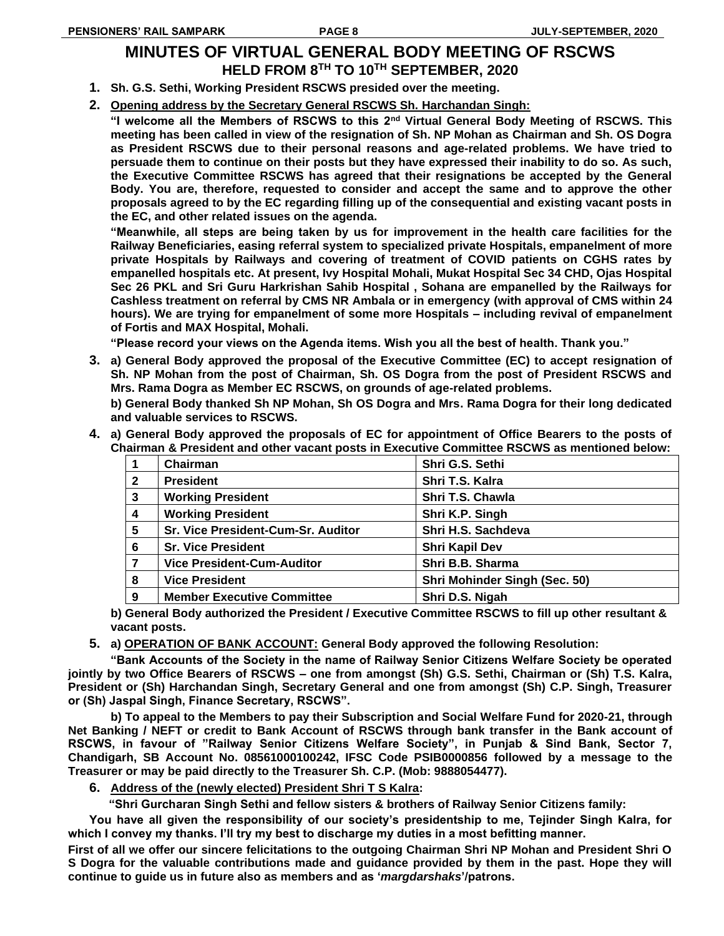### **MINUTES OF VIRTUAL GENERAL BODY MEETING OF RSCWS HELD FROM 8TH TO 10TH SEPTEMBER, 2020**

- **1. Sh. G.S. Sethi, Working President RSCWS presided over the meeting.**
- **2. Opening address by the Secretary General RSCWS Sh. Harchandan Singh:**

**"I welcome all the Members of RSCWS to this 2nd Virtual General Body Meeting of RSCWS. This meeting has been called in view of the resignation of Sh. NP Mohan as Chairman and Sh. OS Dogra as President RSCWS due to their personal reasons and age-related problems. We have tried to persuade them to continue on their posts but they have expressed their inability to do so. As such, the Executive Committee RSCWS has agreed that their resignations be accepted by the General Body. You are, therefore, requested to consider and accept the same and to approve the other proposals agreed to by the EC regarding filling up of the consequential and existing vacant posts in the EC, and other related issues on the agenda.** 

**"Meanwhile, all steps are being taken by us for improvement in the health care facilities for the Railway Beneficiaries, easing referral system to specialized private Hospitals, empanelment of more private Hospitals by Railways and covering of treatment of COVID patients on CGHS rates by empanelled hospitals etc. At present, Ivy Hospital Mohali, Mukat Hospital Sec 34 CHD, Ojas Hospital Sec 26 PKL and Sri Guru Harkrishan Sahib Hospital , Sohana are empanelled by the Railways for Cashless treatment on referral by CMS NR Ambala or in emergency (with approval of CMS within 24 hours). We are trying for empanelment of some more Hospitals – including revival of empanelment of Fortis and MAX Hospital, Mohali.**

**"Please record your views on the Agenda items. Wish you all the best of health. Thank you."**

**3. a) General Body approved the proposal of the Executive Committee (EC) to accept resignation of Sh. NP Mohan from the post of Chairman, Sh. OS Dogra from the post of President RSCWS and Mrs. Rama Dogra as Member EC RSCWS, on grounds of age-related problems.**

**b) General Body thanked Sh NP Mohan, Sh OS Dogra and Mrs. Rama Dogra for their long dedicated and valuable services to RSCWS.**

**4. a) General Body approved the proposals of EC for appointment of Office Bearers to the posts of Chairman & President and other vacant posts in Executive Committee RSCWS as mentioned below:**

|              | Chairman                           | Shri G.S. Sethi               |
|--------------|------------------------------------|-------------------------------|
| $\mathbf{2}$ | <b>President</b>                   | Shri T.S. Kalra               |
| 3            | <b>Working President</b>           | Shri T.S. Chawla              |
| 4            | <b>Working President</b>           | Shri K.P. Singh               |
| 5            | Sr. Vice President-Cum-Sr. Auditor | Shri H.S. Sachdeva            |
| 6            | <b>Sr. Vice President</b>          | <b>Shri Kapil Dev</b>         |
|              | <b>Vice President-Cum-Auditor</b>  | Shri B.B. Sharma              |
| 8            | <b>Vice President</b>              | Shri Mohinder Singh (Sec. 50) |
| 9            | <b>Member Executive Committee</b>  | Shri D.S. Nigah               |

- **b) General Body authorized the President / Executive Committee RSCWS to fill up other resultant & vacant posts.**
- **5. a) OPERATION OF BANK ACCOUNT: General Body approved the following Resolution:**

**"Bank Accounts of the Society in the name of Railway Senior Citizens Welfare Society be operated jointly by two Office Bearers of RSCWS – one from amongst (Sh) G.S. Sethi, Chairman or (Sh) T.S. Kalra, President or (Sh) Harchandan Singh, Secretary General and one from amongst (Sh) C.P. Singh, Treasurer or (Sh) Jaspal Singh, Finance Secretary, RSCWS".**

**b) To appeal to the Members to pay their Subscription and Social Welfare Fund for 2020-21, through Net Banking / NEFT or credit to Bank Account of RSCWS through bank transfer in the Bank account of RSCWS, in favour of "Railway Senior Citizens Welfare Society", in Punjab & Sind Bank, Sector 7, Chandigarh, SB Account No. 08561000100242, IFSC Code PSIB0000856 followed by a message to the Treasurer or may be paid directly to the Treasurer Sh. C.P. (Mob: 9888054477).**

**6. Address of the (newly elected) President Shri T S Kalra:**

 **"Shri Gurcharan Singh Sethi and fellow sisters & brothers of Railway Senior Citizens family:**

**You have all given the responsibility of our society's presidentship to me, Tejinder Singh Kalra, for which I convey my thanks. I'll try my best to discharge my duties in a most befitting manner.**

**First of all we offer our sincere felicitations to the outgoing Chairman Shri NP Mohan and President Shri O S Dogra for the valuable contributions made and guidance provided by them in the past. Hope they will continue to guide us in future also as members and as '***margdarshaks***'/patrons.**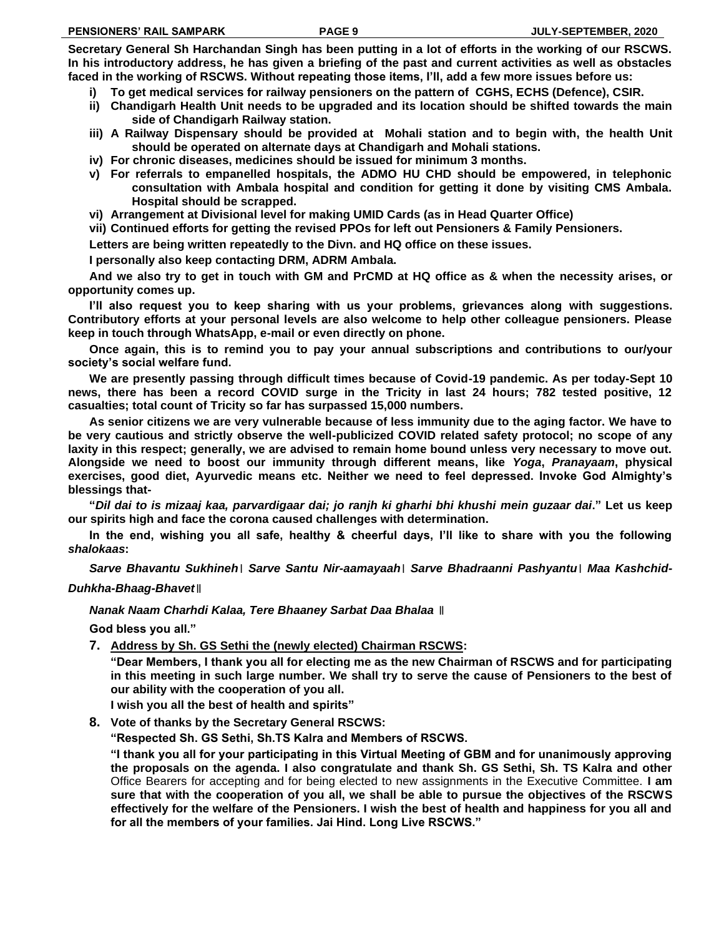**Secretary General Sh Harchandan Singh has been putting in a lot of efforts in the working of our RSCWS. In his introductory address, he has given a briefing of the past and current activities as well as obstacles faced in the working of RSCWS. Without repeating those items, I'll, add a few more issues before us:**

- **i) To get medical services for railway pensioners on the pattern of CGHS, ECHS (Defence), CSIR.**
- **ii) Chandigarh Health Unit needs to be upgraded and its location should be shifted towards the main side of Chandigarh Railway station.**
- **iii) A Railway Dispensary should be provided at Mohali station and to begin with, the health Unit should be operated on alternate days at Chandigarh and Mohali stations.**
- **iv) For chronic diseases, medicines should be issued for minimum 3 months.**
- **v) For referrals to empanelled hospitals, the ADMO HU CHD should be empowered, in telephonic consultation with Ambala hospital and condition for getting it done by visiting CMS Ambala. Hospital should be scrapped.**
- **vi) Arrangement at Divisional level for making UMID Cards (as in Head Quarter Office)**
- **vii) Continued efforts for getting the revised PPOs for left out Pensioners & Family Pensioners.**

**Letters are being written repeatedly to the Divn. and HQ office on these issues.**

**I personally also keep contacting DRM, ADRM Ambala.**

**And we also try to get in touch with GM and PrCMD at HQ office as & when the necessity arises, or opportunity comes up.**

**I'll also request you to keep sharing with us your problems, grievances along with suggestions. Contributory efforts at your personal levels are also welcome to help other colleague pensioners. Please keep in touch through WhatsApp, e-mail or even directly on phone.**

**Once again, this is to remind you to pay your annual subscriptions and contributions to our/your society's social welfare fund.**

**We are presently passing through difficult times because of Covid-19 pandemic. As per today-Sept 10 news, there has been a record COVID surge in the Tricity in last 24 hours; 782 tested positive, 12 casualties; total count of Tricity so far has surpassed 15,000 numbers.**

**As senior citizens we are very vulnerable because of less immunity due to the aging factor. We have to be very cautious and strictly observe the well-publicized COVID related safety protocol; no scope of any laxity in this respect; generally, we are advised to remain home bound unless very necessary to move out. Alongside we need to boost our immunity through different means, like** *Yoga***,** *Pranayaam***, physical exercises, good diet, Ayurvedic means etc. Neither we need to feel depressed. Invoke God Almighty's blessings that-**

**"***Dil dai to is mizaaj kaa, parvardigaar dai; jo ranjh ki gharhi bhi khushi mein guzaar dai***." Let us keep our spirits high and face the corona caused challenges with determination.**

**In the end, wishing you all safe, healthy & cheerful days, I'll like to share with you the following**  *shalokaas***:** 

*Sarve Bhavantu Sukhineh*। *Sarve Santu Nir-aamayaah*। *Sarve Bhadraanni Pashyantu*। *Maa Kashchid-Duhkha-Bhaag-Bhavet*॥

*Nanak Naam Charhdi Kalaa, Tere Bhaaney Sarbat Daa Bhalaa* ॥

**God bless you all."**

**7. Address by Sh. GS Sethi the (newly elected) Chairman RSCWS:**

**"Dear Members, I thank you all for electing me as the new Chairman of RSCWS and for participating in this meeting in such large number. We shall try to serve the cause of Pensioners to the best of our ability with the cooperation of you all.** 

**I wish you all the best of health and spirits"**

**8. Vote of thanks by the Secretary General RSCWS:**

**"Respected Sh. GS Sethi, Sh.TS Kalra and Members of RSCWS.** 

**"I thank you all for your participating in this Virtual Meeting of GBM and for unanimously approving the proposals on the agenda. I also congratulate and thank Sh. GS Sethi, Sh. TS Kalra and other**  Office Bearers for accepting and for being elected to new assignments in the Executive Committee. **I am sure that with the cooperation of you all, we shall be able to pursue the objectives of the RSCWS effectively for the welfare of the Pensioners. I wish the best of health and happiness for you all and for all the members of your families. Jai Hind. Long Live RSCWS."**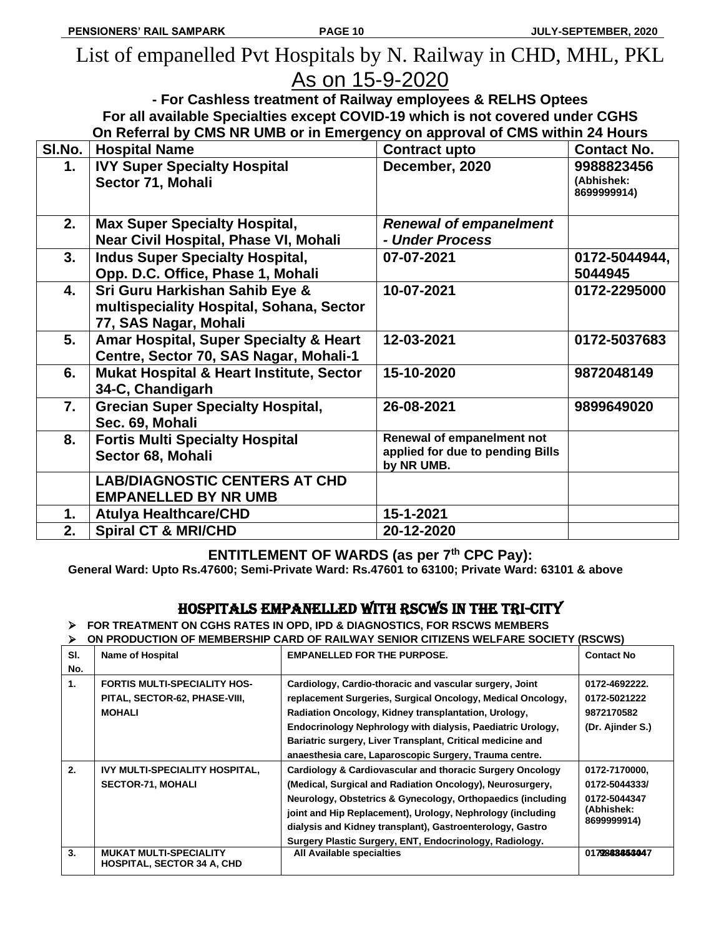# List of empanelled Pvt Hospitals by N. Railway in CHD, MHL, PKL As on 15-9-2020

**- For Cashless treatment of Railway employees & RELHS Optees For all available Specialties except COVID-19 which is not covered under CGHS On Referral by CMS NR UMB or in Emergency on approval of CMS within 24 Hours**

| SI.No. | <b>Hospital Name</b>                                                                                | <b>Contract upto</b>                                                         | <b>Contact No.</b>                      |
|--------|-----------------------------------------------------------------------------------------------------|------------------------------------------------------------------------------|-----------------------------------------|
| 1.     | <b>IVY Super Specialty Hospital</b><br>Sector 71, Mohali                                            | December, 2020                                                               | 9988823456<br>(Abhishek:<br>8699999914) |
| 2.     | <b>Max Super Specialty Hospital,</b><br>Near Civil Hospital, Phase VI, Mohali                       | <b>Renewal of empanelment</b><br>- Under Process                             |                                         |
| 3.     | <b>Indus Super Specialty Hospital,</b><br>Opp. D.C. Office, Phase 1, Mohali                         | 07-07-2021                                                                   | 0172-5044944,<br>5044945                |
| 4.     | Sri Guru Harkishan Sahib Eye &<br>multispeciality Hospital, Sohana, Sector<br>77, SAS Nagar, Mohali | 10-07-2021                                                                   | 0172-2295000                            |
| 5.     | Amar Hospital, Super Specialty & Heart<br>Centre, Sector 70, SAS Nagar, Mohali-1                    | 12-03-2021                                                                   | 0172-5037683                            |
| 6.     | Mukat Hospital & Heart Institute, Sector<br>34-C, Chandigarh                                        | 15-10-2020                                                                   | 9872048149                              |
| 7.     | <b>Grecian Super Specialty Hospital,</b><br>Sec. 69, Mohali                                         | 26-08-2021                                                                   | 9899649020                              |
| 8.     | <b>Fortis Multi Specialty Hospital</b><br>Sector 68, Mohali                                         | Renewal of empanelment not<br>applied for due to pending Bills<br>by NR UMB. |                                         |
|        | <b>LAB/DIAGNOSTIC CENTERS AT CHD</b><br><b>EMPANELLED BY NR UMB</b>                                 |                                                                              |                                         |
| 1.     | <b>Atulya Healthcare/CHD</b>                                                                        | 15-1-2021                                                                    |                                         |
| 2.     | <b>Spiral CT &amp; MRI/CHD</b>                                                                      | 20-12-2020                                                                   |                                         |

### **ENTITLEMENT OF WARDS (as per 7th CPC Pay):**

**General Ward: Upto Rs.47600; Semi-Private Ward: Rs.47601 to 63100; Private Ward: 63101 & above**

### HOSPITALS EMPANELLED WITH RSCWS IN THE TRI-CITY

➢ **FOR TREATMENT ON CGHS RATES IN OPD, IPD & DIAGNOSTICS, FOR RSCWS MEMBERS** 

➢ **ON PRODUCTION OF MEMBERSHIP CARD OF RAILWAY SENIOR CITIZENS WELFARE SOCIETY (RSCWS)** 

| SI.            | <b>Name of Hospital</b>                                                               | <b>EMPANELLED FOR THE PURPOSE.</b>                                                                                                                                                                                                                                                                                                                                          | <b>Contact No</b>                                                           |
|----------------|---------------------------------------------------------------------------------------|-----------------------------------------------------------------------------------------------------------------------------------------------------------------------------------------------------------------------------------------------------------------------------------------------------------------------------------------------------------------------------|-----------------------------------------------------------------------------|
| No.            |                                                                                       |                                                                                                                                                                                                                                                                                                                                                                             |                                                                             |
| $\mathbf{1}$ . | <b>FORTIS MULTI-SPECIALITY HOS-</b><br>PITAL, SECTOR-62, PHASE-VIII,<br><b>MOHALI</b> | Cardiology, Cardio-thoracic and vascular surgery, Joint<br>replacement Surgeries, Surgical Oncology, Medical Oncology,<br>Radiation Oncology, Kidney transplantation, Urology,                                                                                                                                                                                              | 0172-4692222.<br>0172-5021222<br>9872170582                                 |
|                |                                                                                       | Endocrinology Nephrology with dialysis, Paediatric Urology,<br>Bariatric surgery, Liver Transplant, Critical medicine and<br>anaesthesia care, Laparoscopic Surgery, Trauma centre.                                                                                                                                                                                         | (Dr. Ajinder S.)                                                            |
| 2.             | IVY MULTI-SPECIALITY HOSPITAL,<br><b>SECTOR-71, MOHALI</b>                            | Cardiology & Cardiovascular and thoracic Surgery Oncology<br>(Medical, Surgical and Radiation Oncology), Neurosurgery,<br>Neurology, Obstetrics & Gynecology, Orthopaedics (including<br>joint and Hip Replacement), Urology, Nephrology (including<br>dialysis and Kidney transplant), Gastroenterology, Gastro<br>Surgery Plastic Surgery, ENT, Endocrinology, Radiology. | 0172-7170000,<br>0172-5044333/<br>0172-5044347<br>(Abhishek:<br>8699999914) |
| 3.             | <b>MUKAT MULTI-SPECIALITY</b><br><b>HOSPITAL, SECTOR 34 A, CHD</b>                    | All Available specialties                                                                                                                                                                                                                                                                                                                                                   | 0179888853047                                                               |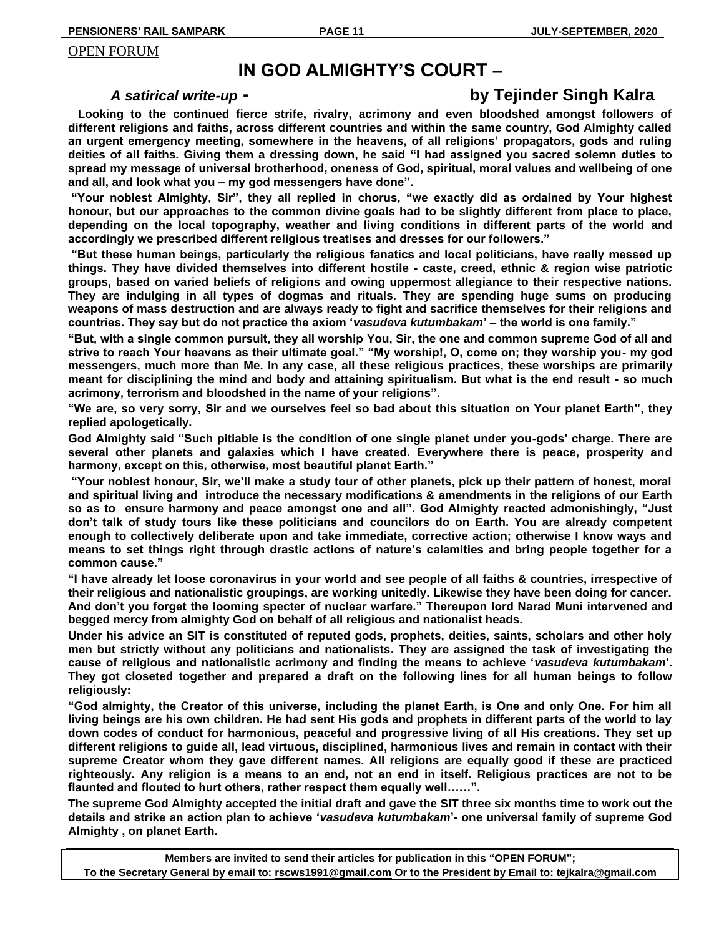#### OPEN FORUM

# **IN GOD ALMIGHTY'S COURT –**

# *A satirical write-up* **- by Tejinder Singh Kalra**

 **Looking to the continued fierce strife, rivalry, acrimony and even bloodshed amongst followers of different religions and faiths, across different countries and within the same country, God Almighty called an urgent emergency meeting, somewhere in the heavens, of all religions' propagators, gods and ruling deities of all faiths. Giving them a dressing down, he said "I had assigned you sacred solemn duties to spread my message of universal brotherhood, oneness of God, spiritual, moral values and wellbeing of one and all, and look what you – my god messengers have done".**

**"Your noblest Almighty, Sir", they all replied in chorus, "we exactly did as ordained by Your highest honour, but our approaches to the common divine goals had to be slightly different from place to place, depending on the local topography, weather and living conditions in different parts of the world and accordingly we prescribed different religious treatises and dresses for our followers."**

**"But these human beings, particularly the religious fanatics and local politicians, have really messed up things. They have divided themselves into different hostile - caste, creed, ethnic & region wise patriotic groups, based on varied beliefs of religions and owing uppermost allegiance to their respective nations. They are indulging in all types of dogmas and rituals. They are spending huge sums on producing weapons of mass destruction and are always ready to fight and sacrifice themselves for their religions and countries. They say but do not practice the axiom '***vasudeva kutumbakam***' – the world is one family."** 

**"But, with a single common pursuit, they all worship You, Sir, the one and common supreme God of all and strive to reach Your heavens as their ultimate goal." "My worship!, O, come on; they worship you- my god messengers, much more than Me. In any case, all these religious practices, these worships are primarily meant for disciplining the mind and body and attaining spiritualism. But what is the end result - so much acrimony, terrorism and bloodshed in the name of your religions".** 

**"We are, so very sorry, Sir and we ourselves feel so bad about this situation on Your planet Earth", they replied apologetically.** 

**God Almighty said "Such pitiable is the condition of one single planet under you-gods' charge. There are several other planets and galaxies which I have created. Everywhere there is peace, prosperity and harmony, except on this, otherwise, most beautiful planet Earth."**

**"Your noblest honour, Sir, we'll make a study tour of other planets, pick up their pattern of honest, moral and spiritual living and introduce the necessary modifications & amendments in the religions of our Earth so as to ensure harmony and peace amongst one and all". God Almighty reacted admonishingly, "Just don't talk of study tours like these politicians and councilors do on Earth. You are already competent enough to collectively deliberate upon and take immediate, corrective action; otherwise I know ways and means to set things right through drastic actions of nature's calamities and bring people together for a common cause."** 

**"I have already let loose coronavirus in your world and see people of all faiths & countries, irrespective of their religious and nationalistic groupings, are working unitedly. Likewise they have been doing for cancer. And don't you forget the looming specter of nuclear warfare." Thereupon lord Narad Muni intervened and begged mercy from almighty God on behalf of all religious and nationalist heads.** 

**Under his advice an SIT is constituted of reputed gods, prophets, deities, saints, scholars and other holy men but strictly without any politicians and nationalists. They are assigned the task of investigating the cause of religious and nationalistic acrimony and finding the means to achieve '***vasudeva kutumbakam***'. They got closeted together and prepared a draft on the following lines for all human beings to follow religiously:**

**"God almighty, the Creator of this universe, including the planet Earth, is One and only One. For him all living beings are his own children. He had sent His gods and prophets in different parts of the world to lay down codes of conduct for harmonious, peaceful and progressive living of all His creations. They set up different religions to guide all, lead virtuous, disciplined, harmonious lives and remain in contact with their supreme Creator whom they gave different names. All religions are equally good if these are practiced righteously. Any religion is a means to an end, not an end in itself. Religious practices are not to be flaunted and flouted to hurt others, rather respect them equally well……".** 

**The supreme God Almighty accepted the initial draft and gave the SIT three six months time to work out the details and strike an action plan to achieve '***vasudeva kutumbakam***'- one universal family of supreme God Almighty , on planet Earth.**

**Members are invited to send their articles for publication in this "OPEN FORUM"; To the Secretary General by email to: [rscws1991@gmail.com](mailto:rscws1991@gmail.com) Or to the President by Email to: tejkalra@gmail.com**